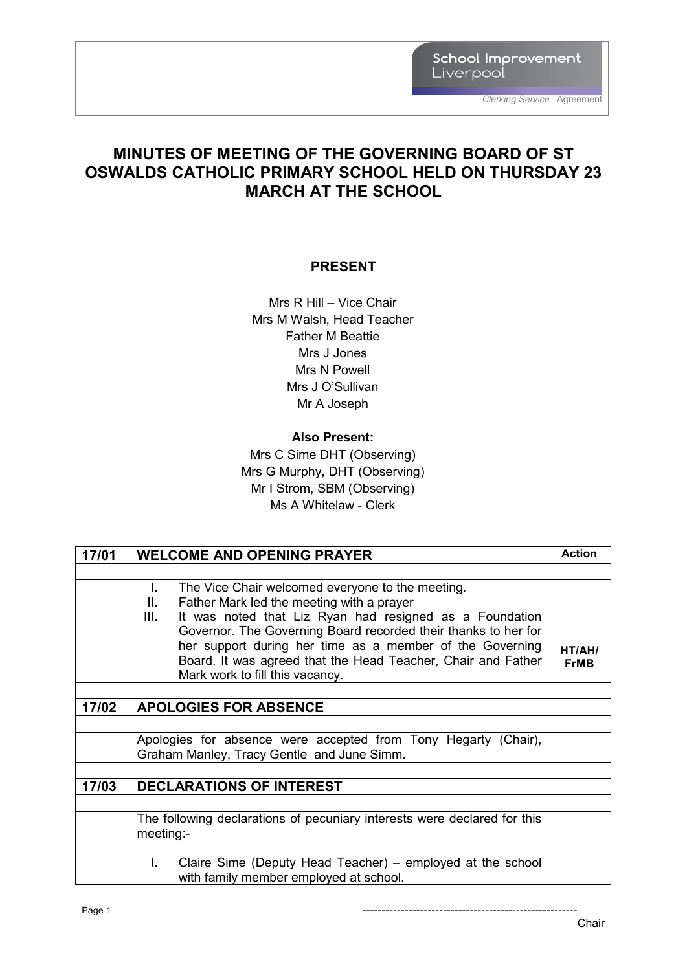School Improvement Liverpool

### **MINUTES OF MEETING OF THE GOVERNING BOARD OF ST OSWALDS CATHOLIC PRIMARY SCHOOL HELD ON THURSDAY 23 MARCH AT THE SCHOOL**

### **PRESENT**

Mrs R Hill – Vice Chair Mrs M Walsh, Head Teacher Father M Beattie Mrs J Jones Mrs N Powell Mrs J O'Sullivan Mr A Joseph

#### **Also Present:**

Mrs C Sime DHT (Observing) Mrs G Murphy, DHT (Observing) Mr I Strom, SBM (Observing) Ms A Whitelaw - Clerk

| 17/01 | <b>WELCOME AND OPENING PRAYER</b>                                                                                                                                                                                                                                                                                                                                                                                        | <b>Action</b>         |
|-------|--------------------------------------------------------------------------------------------------------------------------------------------------------------------------------------------------------------------------------------------------------------------------------------------------------------------------------------------------------------------------------------------------------------------------|-----------------------|
|       |                                                                                                                                                                                                                                                                                                                                                                                                                          |                       |
|       | The Vice Chair welcomed everyone to the meeting.<br>$\mathbf{L}$<br>Father Mark led the meeting with a prayer<br>II.<br>It was noted that Liz Ryan had resigned as a Foundation<br>III.<br>Governor. The Governing Board recorded their thanks to her for<br>her support during her time as a member of the Governing<br>Board. It was agreed that the Head Teacher, Chair and Father<br>Mark work to fill this vacancy. | HT/AH/<br><b>FrMB</b> |
|       |                                                                                                                                                                                                                                                                                                                                                                                                                          |                       |
| 17/02 | <b>APOLOGIES FOR ABSENCE</b>                                                                                                                                                                                                                                                                                                                                                                                             |                       |
|       |                                                                                                                                                                                                                                                                                                                                                                                                                          |                       |
|       | Apologies for absence were accepted from Tony Hegarty (Chair),<br>Graham Manley, Tracy Gentle and June Simm.                                                                                                                                                                                                                                                                                                             |                       |
|       |                                                                                                                                                                                                                                                                                                                                                                                                                          |                       |
| 17/03 | <b>DECLARATIONS OF INTEREST</b>                                                                                                                                                                                                                                                                                                                                                                                          |                       |
|       |                                                                                                                                                                                                                                                                                                                                                                                                                          |                       |
|       | The following declarations of pecuniary interests were declared for this<br>meeting:                                                                                                                                                                                                                                                                                                                                     |                       |
|       | Claire Sime (Deputy Head Teacher) – employed at the school<br>L.<br>with family member employed at school.                                                                                                                                                                                                                                                                                                               |                       |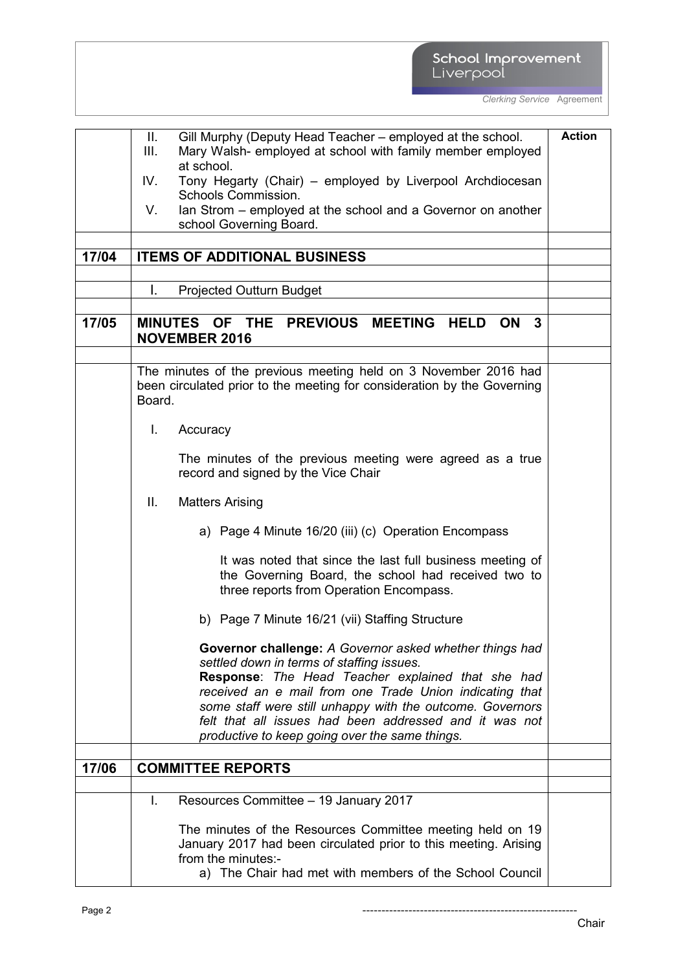# School Improvement<br>Liverpool

*Clerking Service* Agreement

|       | Gill Murphy (Deputy Head Teacher – employed at the school.<br>Ш.        | <b>Action</b> |
|-------|-------------------------------------------------------------------------|---------------|
|       | III.<br>Mary Walsh- employed at school with family member employed      |               |
|       | at school.                                                              |               |
|       | Tony Hegarty (Chair) – employed by Liverpool Archdiocesan<br>IV.        |               |
|       | Schools Commission.                                                     |               |
|       | Ian Strom – employed at the school and a Governor on another<br>V.      |               |
|       | school Governing Board.                                                 |               |
|       |                                                                         |               |
| 17/04 | <b>ITEMS OF ADDITIONAL BUSINESS</b>                                     |               |
|       |                                                                         |               |
|       | L.<br><b>Projected Outturn Budget</b>                                   |               |
|       |                                                                         |               |
| 17/05 | MINUTES OF THE PREVIOUS MEETING<br><b>HELD</b><br>ON<br>3               |               |
|       | <b>NOVEMBER 2016</b>                                                    |               |
|       |                                                                         |               |
|       | The minutes of the previous meeting held on 3 November 2016 had         |               |
|       | been circulated prior to the meeting for consideration by the Governing |               |
|       | Board.                                                                  |               |
|       |                                                                         |               |
|       | L.<br>Accuracy                                                          |               |
|       |                                                                         |               |
|       | The minutes of the previous meeting were agreed as a true               |               |
|       | record and signed by the Vice Chair                                     |               |
|       |                                                                         |               |
|       | Ш.<br><b>Matters Arising</b>                                            |               |
|       | a) Page 4 Minute 16/20 (iii) (c) Operation Encompass                    |               |
|       | It was noted that since the last full business meeting of               |               |
|       | the Governing Board, the school had received two to                     |               |
|       | three reports from Operation Encompass.                                 |               |
|       | b) Page 7 Minute 16/21 (vii) Staffing Structure                         |               |
|       |                                                                         |               |
|       | Governor challenge: A Governor asked whether things had                 |               |
|       | settled down in terms of staffing issues.                               |               |
|       | Response: The Head Teacher explained that she had                       |               |
|       | received an e mail from one Trade Union indicating that                 |               |
|       | some staff were still unhappy with the outcome. Governors               |               |
|       | felt that all issues had been addressed and it was not                  |               |
|       | productive to keep going over the same things.                          |               |
|       |                                                                         |               |
| 17/06 | <b>COMMITTEE REPORTS</b>                                                |               |
|       |                                                                         |               |
|       | Resources Committee - 19 January 2017<br>T.                             |               |
|       | The minutes of the Resources Committee meeting held on 19               |               |
|       | January 2017 had been circulated prior to this meeting. Arising         |               |
|       | from the minutes:-                                                      |               |
|       | a) The Chair had met with members of the School Council                 |               |

Page 2 --------------------------------------------------------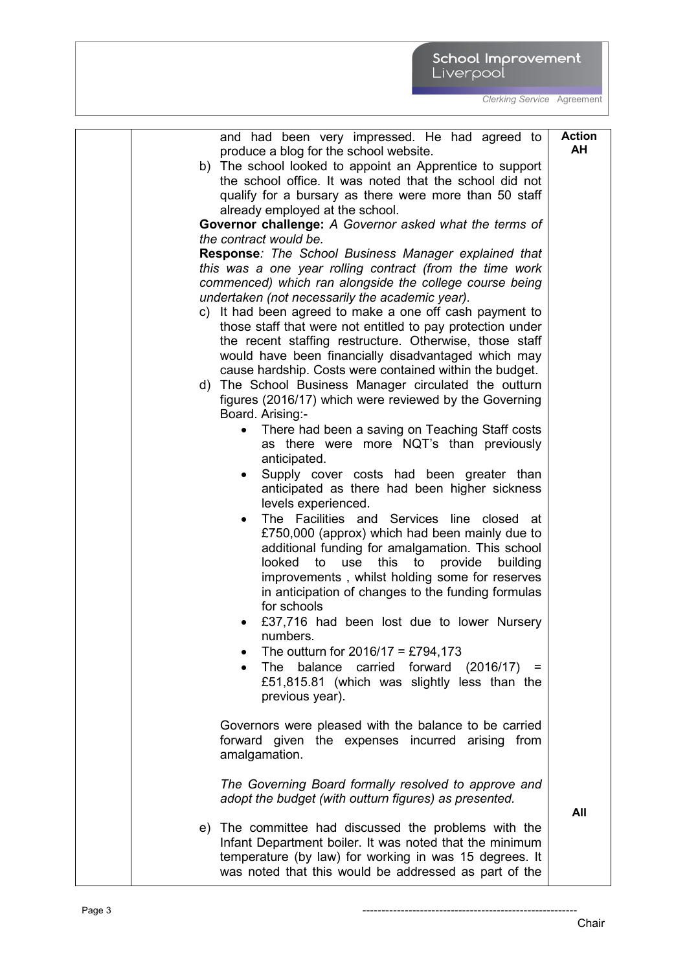| and had been very impressed. He had agreed to<br>produce a blog for the school website.                                                                                                                                                                                                                                             | <b>Action</b><br>AH |
|-------------------------------------------------------------------------------------------------------------------------------------------------------------------------------------------------------------------------------------------------------------------------------------------------------------------------------------|---------------------|
| b) The school looked to appoint an Apprentice to support<br>the school office. It was noted that the school did not<br>qualify for a bursary as there were more than 50 staff                                                                                                                                                       |                     |
| already employed at the school.                                                                                                                                                                                                                                                                                                     |                     |
| Governor challenge: A Governor asked what the terms of<br>the contract would be.                                                                                                                                                                                                                                                    |                     |
| Response: The School Business Manager explained that<br>this was a one year rolling contract (from the time work<br>commenced) which ran alongside the college course being<br>undertaken (not necessarily the academic year).                                                                                                      |                     |
| c) It had been agreed to make a one off cash payment to<br>those staff that were not entitled to pay protection under                                                                                                                                                                                                               |                     |
| the recent staffing restructure. Otherwise, those staff<br>would have been financially disadvantaged which may<br>cause hardship. Costs were contained within the budget.                                                                                                                                                           |                     |
| d) The School Business Manager circulated the outturn<br>figures (2016/17) which were reviewed by the Governing<br>Board. Arising:-                                                                                                                                                                                                 |                     |
| There had been a saving on Teaching Staff costs<br>as there were more NQT's than previously<br>anticipated.                                                                                                                                                                                                                         |                     |
| Supply cover costs had been greater than<br>٠<br>anticipated as there had been higher sickness<br>levels experienced.                                                                                                                                                                                                               |                     |
| The Facilities and Services line closed at<br>£750,000 (approx) which had been mainly due to<br>additional funding for amalgamation. This school<br>looked<br>to<br>use<br>this<br>to<br>provide<br>building<br>improvements, whilst holding some for reserves<br>in anticipation of changes to the funding formulas<br>for schools |                     |
| £37,716 had been lost due to lower Nursery<br>numbers.                                                                                                                                                                                                                                                                              |                     |
| The outturn for $2016/17 = £794,173$<br>balance carried forward (2016/17)<br><b>The</b><br>$\equiv$<br>£51,815.81 (which was slightly less than the<br>previous year).                                                                                                                                                              |                     |
| Governors were pleased with the balance to be carried<br>forward given the expenses incurred arising from<br>amalgamation.                                                                                                                                                                                                          |                     |
| The Governing Board formally resolved to approve and<br>adopt the budget (with outturn figures) as presented.                                                                                                                                                                                                                       | All                 |
| e) The committee had discussed the problems with the<br>Infant Department boiler. It was noted that the minimum<br>temperature (by law) for working in was 15 degrees. It<br>was noted that this would be addressed as part of the                                                                                                  |                     |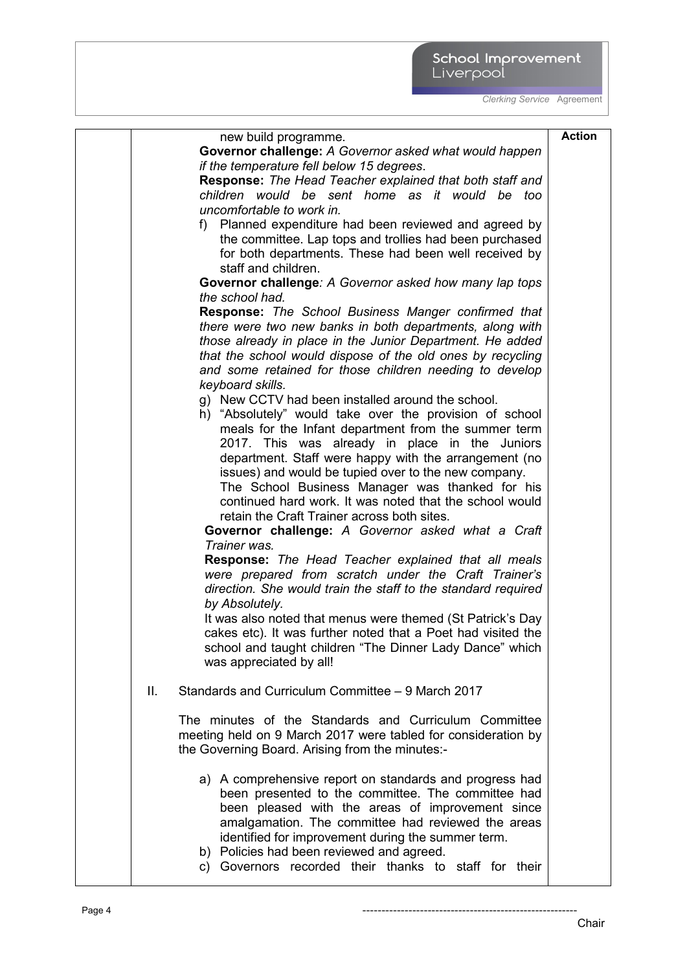|     | new build programme.                                            | <b>Action</b> |
|-----|-----------------------------------------------------------------|---------------|
|     | Governor challenge: A Governor asked what would happen          |               |
|     | if the temperature fell below 15 degrees.                       |               |
|     | <b>Response:</b> The Head Teacher explained that both staff and |               |
|     | children would be sent home as it would be too                  |               |
|     | uncomfortable to work in.                                       |               |
|     | f) Planned expenditure had been reviewed and agreed by          |               |
|     | the committee. Lap tops and trollies had been purchased         |               |
|     | for both departments. These had been well received by           |               |
|     | staff and children.                                             |               |
|     | Governor challenge: A Governor asked how many lap tops          |               |
|     | the school had.                                                 |               |
|     | Response: The School Business Manger confirmed that             |               |
|     | there were two new banks in both departments, along with        |               |
|     | those already in place in the Junior Department. He added       |               |
|     | that the school would dispose of the old ones by recycling      |               |
|     | and some retained for those children needing to develop         |               |
|     | keyboard skills.                                                |               |
|     | g) New CCTV had been installed around the school.               |               |
|     | h) "Absolutely" would take over the provision of school         |               |
|     | meals for the Infant department from the summer term            |               |
|     | 2017. This was already in place in the Juniors                  |               |
|     | department. Staff were happy with the arrangement (no           |               |
|     | issues) and would be tupied over to the new company.            |               |
|     | The School Business Manager was thanked for his                 |               |
|     | continued hard work. It was noted that the school would         |               |
|     | retain the Craft Trainer across both sites.                     |               |
|     | Governor challenge: A Governor asked what a Craft               |               |
|     | Trainer was.                                                    |               |
|     | <b>Response:</b> The Head Teacher explained that all meals      |               |
|     | were prepared from scratch under the Craft Trainer's            |               |
|     | direction. She would train the staff to the standard required   |               |
|     | by Absolutely.                                                  |               |
|     | It was also noted that menus were themed (St Patrick's Day      |               |
|     | cakes etc). It was further noted that a Poet had visited the    |               |
|     | school and taught children "The Dinner Lady Dance" which        |               |
|     | was appreciated by all!                                         |               |
|     |                                                                 |               |
| ΙΙ. | Standards and Curriculum Committee - 9 March 2017               |               |
|     | The minutes of the Standards and Curriculum Committee           |               |
|     | meeting held on 9 March 2017 were tabled for consideration by   |               |
|     | the Governing Board. Arising from the minutes:-                 |               |
|     |                                                                 |               |
|     | a) A comprehensive report on standards and progress had         |               |
|     | been presented to the committee. The committee had              |               |
|     | been pleased with the areas of improvement since                |               |
|     | amalgamation. The committee had reviewed the areas              |               |
|     | identified for improvement during the summer term.              |               |
|     | b) Policies had been reviewed and agreed.                       |               |
|     | c) Governors recorded their thanks to staff for their           |               |
|     |                                                                 |               |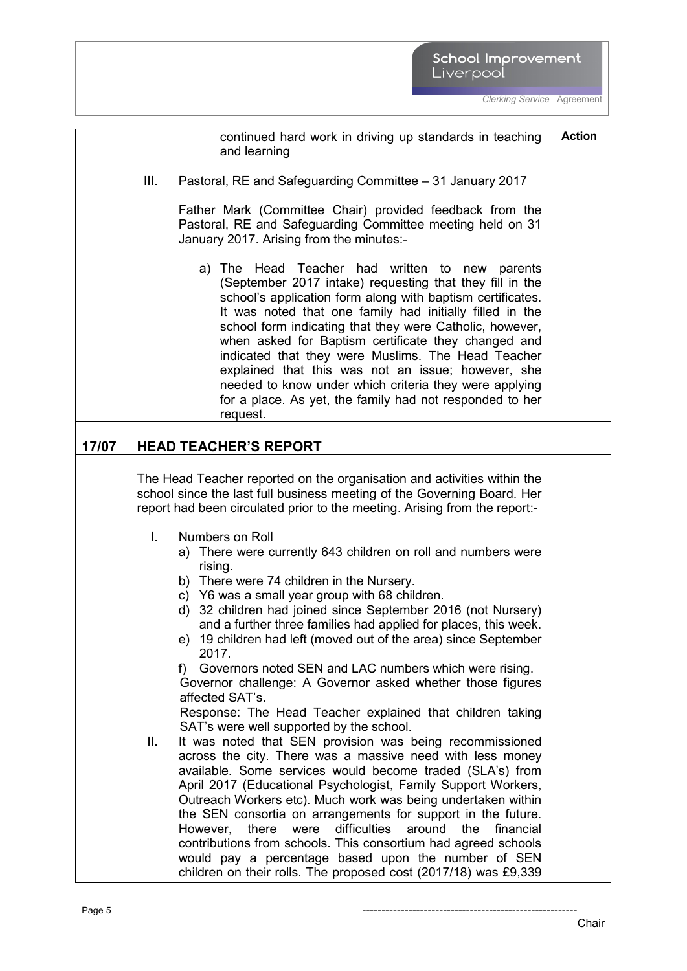|       | continued hard work in driving up standards in teaching                    | <b>Action</b> |
|-------|----------------------------------------------------------------------------|---------------|
|       | and learning                                                               |               |
|       |                                                                            |               |
|       | III.<br>Pastoral, RE and Safeguarding Committee - 31 January 2017          |               |
|       |                                                                            |               |
|       | Father Mark (Committee Chair) provided feedback from the                   |               |
|       | Pastoral, RE and Safeguarding Committee meeting held on 31                 |               |
|       |                                                                            |               |
|       | January 2017. Arising from the minutes:-                                   |               |
|       |                                                                            |               |
|       | a) The Head Teacher had written to new parents                             |               |
|       | (September 2017 intake) requesting that they fill in the                   |               |
|       | school's application form along with baptism certificates.                 |               |
|       | It was noted that one family had initially filled in the                   |               |
|       | school form indicating that they were Catholic, however,                   |               |
|       | when asked for Baptism certificate they changed and                        |               |
|       |                                                                            |               |
|       | indicated that they were Muslims. The Head Teacher                         |               |
|       | explained that this was not an issue; however, she                         |               |
|       | needed to know under which criteria they were applying                     |               |
|       | for a place. As yet, the family had not responded to her                   |               |
|       | request.                                                                   |               |
|       |                                                                            |               |
| 17/07 | <b>HEAD TEACHER'S REPORT</b>                                               |               |
|       |                                                                            |               |
|       |                                                                            |               |
|       | The Head Teacher reported on the organisation and activities within the    |               |
|       | school since the last full business meeting of the Governing Board. Her    |               |
|       | report had been circulated prior to the meeting. Arising from the report:- |               |
|       |                                                                            |               |
|       | I.<br>Numbers on Roll                                                      |               |
|       | a) There were currently 643 children on roll and numbers were              |               |
|       | rising.                                                                    |               |
|       | b) There were 74 children in the Nursery.                                  |               |
|       | c) Y6 was a small year group with 68 children.                             |               |
|       | d) 32 children had joined since September 2016 (not Nursery)               |               |
|       |                                                                            |               |
|       | and a further three families had applied for places, this week.            |               |
|       | e) 19 children had left (moved out of the area) since September            |               |
|       | 2017.                                                                      |               |
|       | f) Governors noted SEN and LAC numbers which were rising.                  |               |
|       | Governor challenge: A Governor asked whether those figures                 |               |
|       | affected SAT's.                                                            |               |
|       | Response: The Head Teacher explained that children taking                  |               |
|       | SAT's were well supported by the school.                                   |               |
|       | It was noted that SEN provision was being recommissioned<br>Ш.             |               |
|       | across the city. There was a massive need with less money                  |               |
|       |                                                                            |               |
|       | available. Some services would become traded (SLA's) from                  |               |
|       | April 2017 (Educational Psychologist, Family Support Workers,              |               |
|       | Outreach Workers etc). Much work was being undertaken within               |               |
|       | the SEN consortia on arrangements for support in the future.               |               |
|       | difficulties<br>there<br>were<br>around<br>the<br>financial<br>However,    |               |
|       | contributions from schools. This consortium had agreed schools             |               |
|       | would pay a percentage based upon the number of SEN                        |               |
|       | children on their rolls. The proposed cost (2017/18) was £9,339            |               |
|       |                                                                            |               |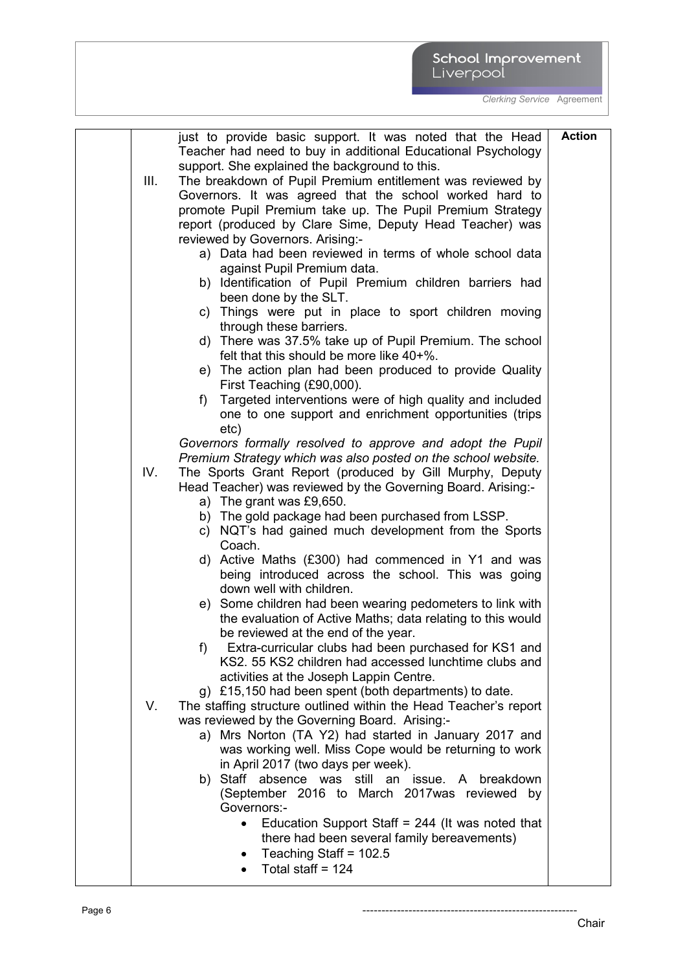|      | just to provide basic support. It was noted that the Head        | <b>Action</b> |
|------|------------------------------------------------------------------|---------------|
|      | Teacher had need to buy in additional Educational Psychology     |               |
|      | support. She explained the background to this.                   |               |
| III. | The breakdown of Pupil Premium entitlement was reviewed by       |               |
|      | Governors. It was agreed that the school worked hard to          |               |
|      | promote Pupil Premium take up. The Pupil Premium Strategy        |               |
|      | report (produced by Clare Sime, Deputy Head Teacher) was         |               |
|      | reviewed by Governors. Arising:-                                 |               |
|      | a) Data had been reviewed in terms of whole school data          |               |
|      | against Pupil Premium data.                                      |               |
|      | b) Identification of Pupil Premium children barriers had         |               |
|      | been done by the SLT.                                            |               |
|      | c) Things were put in place to sport children moving             |               |
|      | through these barriers.                                          |               |
|      | d) There was 37.5% take up of Pupil Premium. The school          |               |
|      | felt that this should be more like 40+%.                         |               |
|      | e) The action plan had been produced to provide Quality          |               |
|      | First Teaching (£90,000).                                        |               |
|      | Targeted interventions were of high quality and included<br>f)   |               |
|      | one to one support and enrichment opportunities (trips           |               |
|      | etc)                                                             |               |
|      | Governors formally resolved to approve and adopt the Pupil       |               |
|      | Premium Strategy which was also posted on the school website.    |               |
| IV.  | The Sports Grant Report (produced by Gill Murphy, Deputy         |               |
|      | Head Teacher) was reviewed by the Governing Board. Arising:-     |               |
|      | a) The grant was £9,650.                                         |               |
|      | b) The gold package had been purchased from LSSP.                |               |
|      | c) NQT's had gained much development from the Sports             |               |
|      | Coach.<br>d) Active Maths (£300) had commenced in Y1 and was     |               |
|      | being introduced across the school. This was going               |               |
|      | down well with children.                                         |               |
|      | e) Some children had been wearing pedometers to link with        |               |
|      | the evaluation of Active Maths; data relating to this would      |               |
|      | be reviewed at the end of the year.                              |               |
|      | Extra-curricular clubs had been purchased for KS1 and<br>$f$ )   |               |
|      | KS2, 55 KS2 children had accessed lunchtime clubs and            |               |
|      | activities at the Joseph Lappin Centre.                          |               |
|      | g) £15,150 had been spent (both departments) to date.            |               |
| V.   | The staffing structure outlined within the Head Teacher's report |               |
|      | was reviewed by the Governing Board. Arising:-                   |               |
|      | a) Mrs Norton (TA Y2) had started in January 2017 and            |               |
|      | was working well. Miss Cope would be returning to work           |               |
|      | in April 2017 (two days per week).                               |               |
|      | b) Staff absence was still an issue. A breakdown                 |               |
|      | (September 2016 to March 2017 was reviewed by                    |               |
|      | Governors:-                                                      |               |
|      | Education Support Staff = $244$ (It was noted that<br>$\bullet$  |               |
|      | there had been several family bereavements)                      |               |
|      | Teaching Staff = $102.5$                                         |               |
|      | Total staff = $124$                                              |               |
|      |                                                                  |               |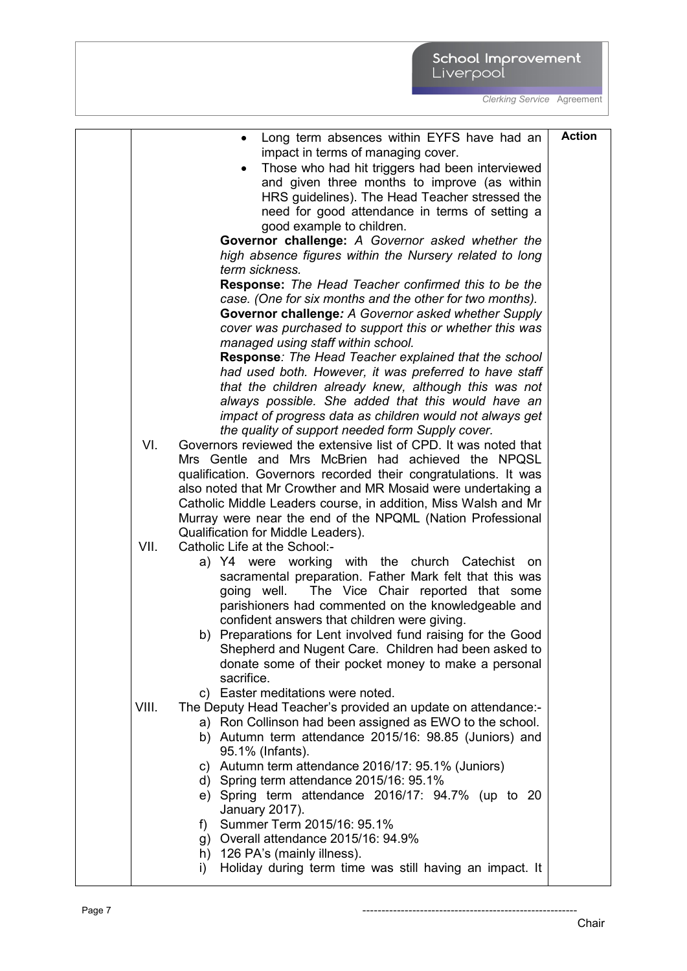|       | Long term absences within EYFS have had an                                                                               | <b>Action</b> |
|-------|--------------------------------------------------------------------------------------------------------------------------|---------------|
|       | impact in terms of managing cover.                                                                                       |               |
|       | Those who had hit triggers had been interviewed                                                                          |               |
|       | and given three months to improve (as within                                                                             |               |
|       | HRS guidelines). The Head Teacher stressed the                                                                           |               |
|       | need for good attendance in terms of setting a                                                                           |               |
|       | good example to children.                                                                                                |               |
|       | Governor challenge: A Governor asked whether the                                                                         |               |
|       | high absence figures within the Nursery related to long                                                                  |               |
|       | term sickness.                                                                                                           |               |
|       | <b>Response:</b> The Head Teacher confirmed this to be the                                                               |               |
|       | case. (One for six months and the other for two months).                                                                 |               |
|       | Governor challenge: A Governor asked whether Supply                                                                      |               |
|       | cover was purchased to support this or whether this was                                                                  |               |
|       | managed using staff within school.                                                                                       |               |
|       | Response: The Head Teacher explained that the school                                                                     |               |
|       | had used both. However, it was preferred to have staff<br>that the children already knew, although this was not          |               |
|       | always possible. She added that this would have an                                                                       |               |
|       | impact of progress data as children would not always get                                                                 |               |
|       | the quality of support needed form Supply cover.                                                                         |               |
| VI.   | Governors reviewed the extensive list of CPD. It was noted that                                                          |               |
|       | Mrs Gentle and Mrs McBrien had achieved the NPQSL                                                                        |               |
|       | qualification. Governors recorded their congratulations. It was                                                          |               |
|       | also noted that Mr Crowther and MR Mosaid were undertaking a                                                             |               |
|       | Catholic Middle Leaders course, in addition, Miss Walsh and Mr                                                           |               |
|       | Murray were near the end of the NPQML (Nation Professional                                                               |               |
|       | Qualification for Middle Leaders).                                                                                       |               |
| VII.  | Catholic Life at the School:-                                                                                            |               |
|       | a) Y4 were working with the church Catechist<br>on.                                                                      |               |
|       | sacramental preparation. Father Mark felt that this was                                                                  |               |
|       | going well. The Vice Chair reported that some                                                                            |               |
|       | parishioners had commented on the knowledgeable and                                                                      |               |
|       | confident answers that children were giving.                                                                             |               |
|       | b) Preparations for Lent involved fund raising for the Good                                                              |               |
|       | Shepherd and Nugent Care. Children had been asked to                                                                     |               |
|       | donate some of their pocket money to make a personal<br>sacrifice.                                                       |               |
|       | c) Easter meditations were noted.                                                                                        |               |
| VIII. |                                                                                                                          |               |
|       | The Deputy Head Teacher's provided an update on attendance:-<br>a) Ron Collinson had been assigned as EWO to the school. |               |
|       | b) Autumn term attendance 2015/16: 98.85 (Juniors) and                                                                   |               |
|       | 95.1% (Infants).                                                                                                         |               |
|       | c) Autumn term attendance 2016/17: 95.1% (Juniors)                                                                       |               |
|       | d) Spring term attendance 2015/16: 95.1%                                                                                 |               |
|       | e) Spring term attendance 2016/17: 94.7% (up to 20                                                                       |               |
|       | January 2017).                                                                                                           |               |
|       | Summer Term 2015/16: 95.1%<br>f)                                                                                         |               |
|       | g) Overall attendance 2015/16: 94.9%                                                                                     |               |
|       | h) 126 PA's (mainly illness).                                                                                            |               |
|       | Holiday during term time was still having an impact. It<br>i)                                                            |               |
|       |                                                                                                                          |               |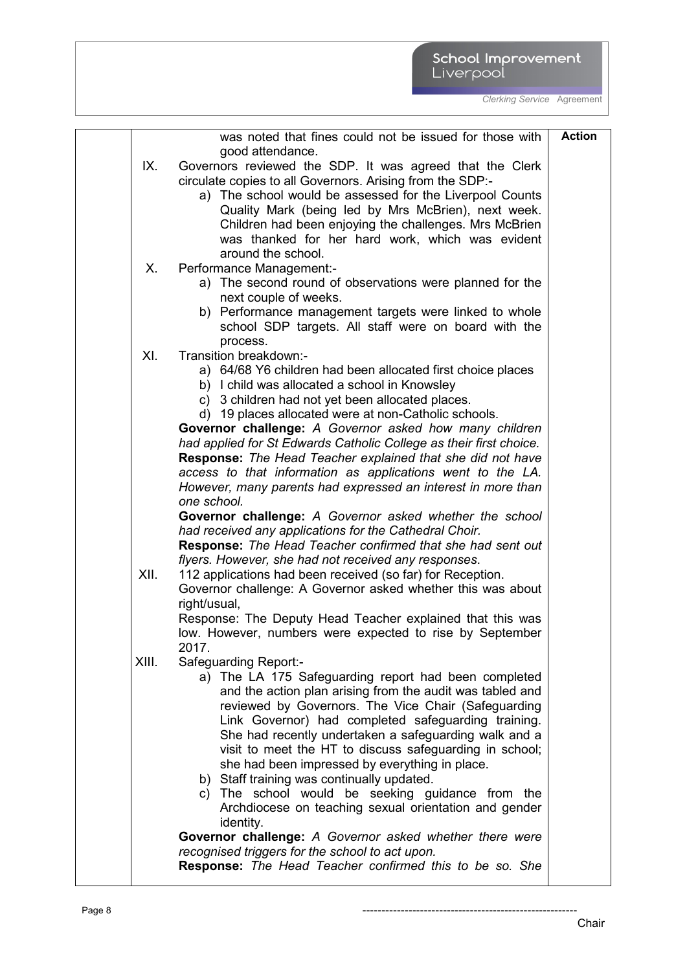| IX.         | was noted that fines could not be issued for those with<br>good attendance.<br>Governors reviewed the SDP. It was agreed that the Clerk                                                                                                                                                                                                                                                                                                                                                                                                                                                                                                                                                                                                                                                                                                                                                                                                                                                             | <b>Action</b> |
|-------------|-----------------------------------------------------------------------------------------------------------------------------------------------------------------------------------------------------------------------------------------------------------------------------------------------------------------------------------------------------------------------------------------------------------------------------------------------------------------------------------------------------------------------------------------------------------------------------------------------------------------------------------------------------------------------------------------------------------------------------------------------------------------------------------------------------------------------------------------------------------------------------------------------------------------------------------------------------------------------------------------------------|---------------|
|             | circulate copies to all Governors. Arising from the SDP:-<br>a) The school would be assessed for the Liverpool Counts<br>Quality Mark (being led by Mrs McBrien), next week.<br>Children had been enjoying the challenges. Mrs McBrien                                                                                                                                                                                                                                                                                                                                                                                                                                                                                                                                                                                                                                                                                                                                                              |               |
|             | was thanked for her hard work, which was evident<br>around the school.                                                                                                                                                                                                                                                                                                                                                                                                                                                                                                                                                                                                                                                                                                                                                                                                                                                                                                                              |               |
| Х.          | Performance Management:-<br>a) The second round of observations were planned for the<br>next couple of weeks.<br>b) Performance management targets were linked to whole<br>school SDP targets. All staff were on board with the<br>process.                                                                                                                                                                                                                                                                                                                                                                                                                                                                                                                                                                                                                                                                                                                                                         |               |
| XI.<br>XII. | Transition breakdown:-<br>a) 64/68 Y6 children had been allocated first choice places<br>b) I child was allocated a school in Knowsley<br>c) 3 children had not yet been allocated places.<br>d) 19 places allocated were at non-Catholic schools.<br>Governor challenge: A Governor asked how many children<br>had applied for St Edwards Catholic College as their first choice.<br><b>Response:</b> The Head Teacher explained that she did not have<br>access to that information as applications went to the LA.<br>However, many parents had expressed an interest in more than<br>one school.<br>Governor challenge: A Governor asked whether the school<br>had received any applications for the Cathedral Choir.<br><b>Response:</b> The Head Teacher confirmed that she had sent out<br>flyers. However, she had not received any responses.<br>112 applications had been received (so far) for Reception.<br>Governor challenge: A Governor asked whether this was about<br>right/usual, |               |
|             | Response: The Deputy Head Teacher explained that this was<br>low. However, numbers were expected to rise by September                                                                                                                                                                                                                                                                                                                                                                                                                                                                                                                                                                                                                                                                                                                                                                                                                                                                               |               |
| XIII.       | 2017<br>Safeguarding Report:-<br>a) The LA 175 Safeguarding report had been completed<br>and the action plan arising from the audit was tabled and<br>reviewed by Governors. The Vice Chair (Safeguarding<br>Link Governor) had completed safeguarding training.<br>She had recently undertaken a safeguarding walk and a<br>visit to meet the HT to discuss safeguarding in school;<br>she had been impressed by everything in place.<br>b) Staff training was continually updated.<br>c) The school would be seeking guidance from the<br>Archdiocese on teaching sexual orientation and gender<br>identity.<br>Governor challenge: A Governor asked whether there were<br>recognised triggers for the school to act upon.<br><b>Response:</b> The Head Teacher confirmed this to be so. She                                                                                                                                                                                                      |               |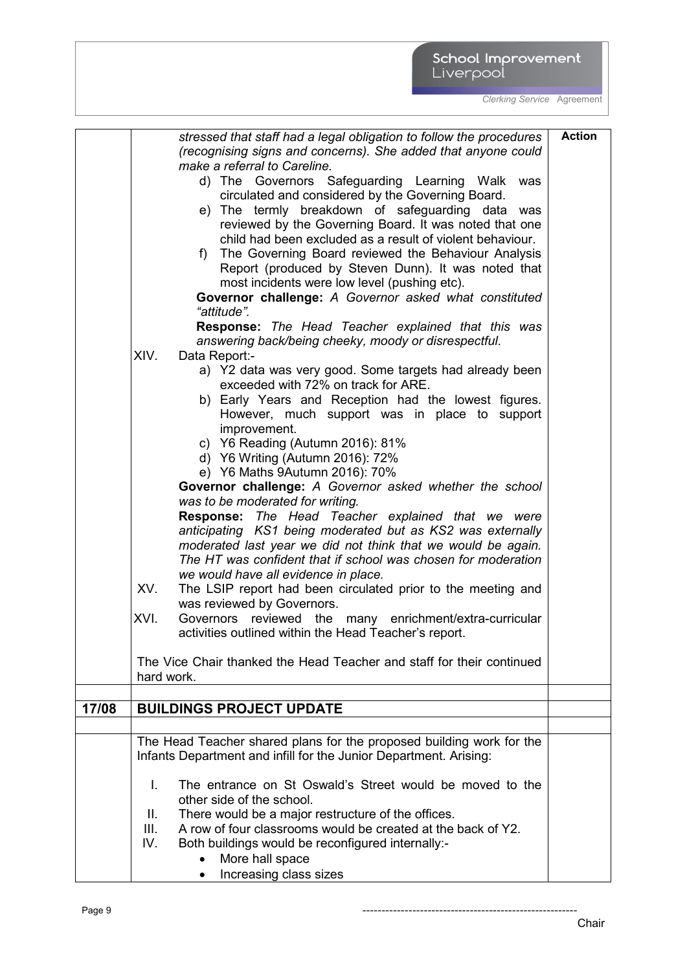# School Improvement<br>Liverpool

*Clerking Service* Agreement

|       | stressed that staff had a legal obligation to follow the procedures                                                                       | <b>Action</b> |
|-------|-------------------------------------------------------------------------------------------------------------------------------------------|---------------|
|       | (recognising signs and concerns). She added that anyone could                                                                             |               |
|       | make a referral to Careline.                                                                                                              |               |
|       | d) The Governors Safeguarding Learning Walk was                                                                                           |               |
|       | circulated and considered by the Governing Board.                                                                                         |               |
|       | e) The termly breakdown of safeguarding data was                                                                                          |               |
|       | reviewed by the Governing Board. It was noted that one<br>child had been excluded as a result of violent behaviour.                       |               |
|       |                                                                                                                                           |               |
|       | The Governing Board reviewed the Behaviour Analysis<br>f)                                                                                 |               |
|       | Report (produced by Steven Dunn). It was noted that<br>most incidents were low level (pushing etc).                                       |               |
|       | Governor challenge: A Governor asked what constituted                                                                                     |               |
|       | "attitude".                                                                                                                               |               |
|       | Response: The Head Teacher explained that this was                                                                                        |               |
|       | answering back/being cheeky, moody or disrespectful.                                                                                      |               |
|       | XIV.<br>Data Report:-                                                                                                                     |               |
|       | a) Y2 data was very good. Some targets had already been                                                                                   |               |
|       | exceeded with 72% on track for ARE.                                                                                                       |               |
|       | b) Early Years and Reception had the lowest figures.                                                                                      |               |
|       | However, much support was in place to support                                                                                             |               |
|       | improvement.                                                                                                                              |               |
|       | c) Y6 Reading (Autumn 2016): 81%                                                                                                          |               |
|       | d) Y6 Writing (Autumn 2016): 72%                                                                                                          |               |
|       | e) Y6 Maths 9Autumn 2016): 70%                                                                                                            |               |
|       | Governor challenge: A Governor asked whether the school                                                                                   |               |
|       | was to be moderated for writing.                                                                                                          |               |
|       | <b>Response:</b> The Head Teacher explained that we were                                                                                  |               |
|       | anticipating KS1 being moderated but as KS2 was externally                                                                                |               |
|       | moderated last year we did not think that we would be again.                                                                              |               |
|       | The HT was confident that if school was chosen for moderation                                                                             |               |
|       | we would have all evidence in place.                                                                                                      |               |
|       | XV.<br>The LSIP report had been circulated prior to the meeting and                                                                       |               |
|       | was reviewed by Governors.                                                                                                                |               |
|       | XVI.<br>Governors reviewed the<br>many enrichment/extra-curricular                                                                        |               |
|       | activities outlined within the Head Teacher's report.                                                                                     |               |
|       |                                                                                                                                           |               |
|       | The Vice Chair thanked the Head Teacher and staff for their continued                                                                     |               |
|       | hard work.                                                                                                                                |               |
|       |                                                                                                                                           |               |
| 17/08 | <b>BUILDINGS PROJECT UPDATE</b>                                                                                                           |               |
|       |                                                                                                                                           |               |
|       | The Head Teacher shared plans for the proposed building work for the<br>Infants Department and infill for the Junior Department. Arising: |               |
|       |                                                                                                                                           |               |
|       | The entrance on St Oswald's Street would be moved to the<br>Ι.                                                                            |               |
|       | other side of the school.                                                                                                                 |               |
|       | There would be a major restructure of the offices.<br>II.                                                                                 |               |
|       | A row of four classrooms would be created at the back of Y2.<br>III.                                                                      |               |
|       | IV.<br>Both buildings would be reconfigured internally:-                                                                                  |               |
|       | More hall space                                                                                                                           |               |
|       | Increasing class sizes                                                                                                                    |               |

Chair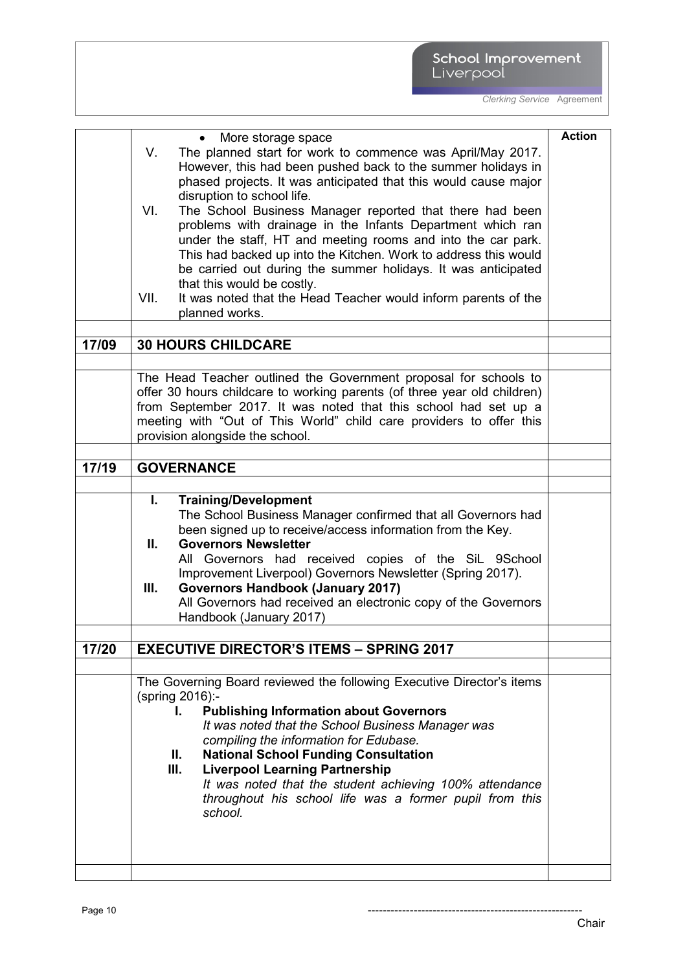|       | More storage space<br>$\bullet$                                                                                                        | <b>Action</b> |
|-------|----------------------------------------------------------------------------------------------------------------------------------------|---------------|
|       | The planned start for work to commence was April/May 2017.<br>V.                                                                       |               |
|       | However, this had been pushed back to the summer holidays in                                                                           |               |
|       | phased projects. It was anticipated that this would cause major                                                                        |               |
|       | disruption to school life.                                                                                                             |               |
|       | The School Business Manager reported that there had been<br>VI.                                                                        |               |
|       | problems with drainage in the Infants Department which ran                                                                             |               |
|       | under the staff, HT and meeting rooms and into the car park.                                                                           |               |
|       | This had backed up into the Kitchen. Work to address this would                                                                        |               |
|       | be carried out during the summer holidays. It was anticipated                                                                          |               |
|       | that this would be costly.                                                                                                             |               |
|       | It was noted that the Head Teacher would inform parents of the<br>VII.                                                                 |               |
|       | planned works.                                                                                                                         |               |
|       |                                                                                                                                        |               |
| 17/09 | <b>30 HOURS CHILDCARE</b>                                                                                                              |               |
|       |                                                                                                                                        |               |
|       | The Head Teacher outlined the Government proposal for schools to                                                                       |               |
|       | offer 30 hours childcare to working parents (of three year old children)                                                               |               |
|       | from September 2017. It was noted that this school had set up a<br>meeting with "Out of This World" child care providers to offer this |               |
|       | provision alongside the school.                                                                                                        |               |
|       |                                                                                                                                        |               |
| 17/19 | <b>GOVERNANCE</b>                                                                                                                      |               |
|       |                                                                                                                                        |               |
|       | <b>Training/Development</b><br>L.                                                                                                      |               |
|       | The School Business Manager confirmed that all Governors had                                                                           |               |
|       | been signed up to receive/access information from the Key.                                                                             |               |
|       | <b>Governors Newsletter</b><br>Ш.                                                                                                      |               |
|       | All Governors had received copies of the SiL 9School                                                                                   |               |
|       | Improvement Liverpool) Governors Newsletter (Spring 2017).                                                                             |               |
|       | <b>Governors Handbook (January 2017)</b><br>Ш.                                                                                         |               |
|       | All Governors had received an electronic copy of the Governors                                                                         |               |
|       | Handbook (January 2017)                                                                                                                |               |
|       |                                                                                                                                        |               |
| 17/20 | <b>EXECUTIVE DIRECTOR'S ITEMS - SPRING 2017</b>                                                                                        |               |
|       |                                                                                                                                        |               |
|       | The Governing Board reviewed the following Executive Director's items                                                                  |               |
|       | (spring 2016):-                                                                                                                        |               |
|       | <b>Publishing Information about Governors</b><br>I.                                                                                    |               |
|       | It was noted that the School Business Manager was                                                                                      |               |
|       | compiling the information for Edubase.                                                                                                 |               |
|       | <b>National School Funding Consultation</b><br>Ш.                                                                                      |               |
|       | Ш.<br><b>Liverpool Learning Partnership</b>                                                                                            |               |
|       | It was noted that the student achieving 100% attendance                                                                                |               |
|       | throughout his school life was a former pupil from this                                                                                |               |
|       | school.                                                                                                                                |               |
|       |                                                                                                                                        |               |
|       |                                                                                                                                        |               |
|       |                                                                                                                                        |               |
|       |                                                                                                                                        |               |

Page 10 --------------------------------------------------------